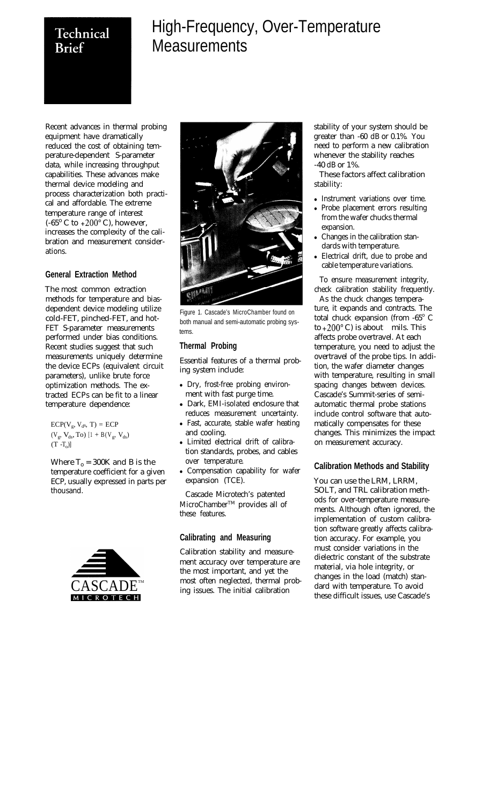# Technical **Brief**

# High-Frequency, Over-Temperature **Measurements**

Recent advances in thermal probing equipment have dramatically reduced the cost of obtaining temperature-dependent S-parameter data, while increasing throughput capabilities. These advances make thermal device modeling and process characterization both practical and affordable. The extreme temperature range of interest  $(-65^{\circ} \text{ C to } +200^{\circ} \text{ C})$ , however, increases the complexity of the calibration and measurement considerations.

### **General Extraction Method**

The most common extraction methods for temperature and biasdependent device modeling utilize cold-FET, pinched-FET, and hot-FET S-parameter measurements performed under bias conditions. Recent studies suggest that such measurements uniquely determine the device ECPs (equivalent circuit parameters), unlike brute force optimization methods. The extracted ECPs can be fit to a linear temperature dependence:

 $ECP(V_g, V_d, T) = ECP$  $(V_g, V_{ds}, To)$  [1 + B(V<sub>g</sub>, V<sub>ds</sub>)  $(T - T_0)$ 

Where  $T_0 = 300K$  and B is the temperature coefficient for a given ECP, usually expressed in parts per thousand.





Figure 1. Cascade's MicroChamber found on both manual and semi-automatic probing systems.

# **Thermal Probing**

Essential features of a thermal probing system include:

- Dry, frost-free probing environment with fast purge time.
- Dark, EMI-isolated enclosure that reduces measurement uncertainty.
- Fast, accurate, stable wafer heating and cooling.
- Limited electrical drift of calibration standards, probes, and cables over temperature.
- Compensation capability for wafer expansion (TCE).

Cascade Microtech's patented MicroChamberTM provides all of these features.

### **Calibrating and Measuring**

Calibration stability and measurement accuracy over temperature are the most important, and yet the most often neglected, thermal probing issues. The initial calibration

stability of your system should be greater than -60 dB or 0.1%. You need to perform a new calibration whenever the stability reaches -40 dB or 1%.

These factors affect calibration stability:

- Instrument variations over time.
- Probe placement errors resulting from the wafer chucks thermal expansion.
- Changes in the calibration standards with temperature.
- Electrical drift, due to probe and cable temperature variations.

To ensure measurement integrity, check calibration stability frequently.

As the chuck changes temperature, it expands and contracts. The total chuck expansion (from -65° C to  $+200^{\circ}$  C) is about mils. This affects probe overtravel. At each temperature, you need to adjust the overtravel of the probe tips. In addition, the wafer diameter changes with temperature, resulting in small spacing changes between devices. Cascade's Summit-series of semiautomatic thermal probe stations include control software that automatically compensates for these changes. This minimizes the impact on measurement accuracy.

# **Calibration Methods and Stability**

You can use the LRM, LRRM, SOLT, and TRL calibration methods for over-temperature measurements. Although often ignored, the implementation of custom calibration software greatly affects calibration accuracy. For example, you must consider variations in the dielectric constant of the substrate material, via hole integrity, or changes in the load (match) standard with temperature. To avoid these difficult issues, use Cascade's